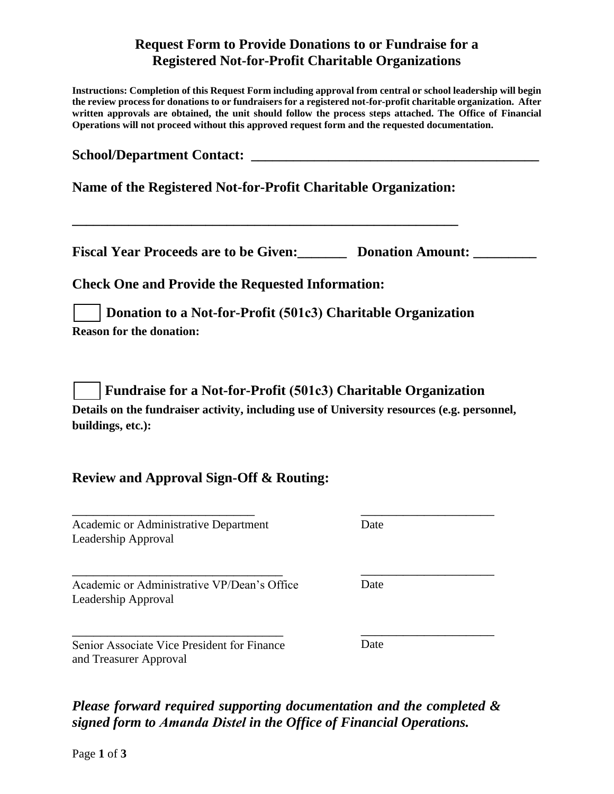## **Request Form to Provide Donations to or Fundraise for a Registered Not-for-Profit Charitable Organizations**

**Instructions: Completion of this Request Form including approval from central or school leadership will begin the review process for donations to or fundraisers for a registered not-for-profit charitable organization. After written approvals are obtained, the unit should follow the process steps attached. The Office of Financial Operations will not proceed without this approved request form and the requested documentation.** 

| School/Department Contact:<br>Name of the Registered Not-for-Profit Charitable Organization:                    |      |
|-----------------------------------------------------------------------------------------------------------------|------|
|                                                                                                                 |      |
| <b>Check One and Provide the Requested Information:</b>                                                         |      |
| Donation to a Not-for-Profit (501c3) Charitable Organization<br><b>Reason for the donation:</b>                 |      |
| <b>Fundraise for a Not-for-Profit (501c3) Charitable Organization</b>                                           |      |
| Details on the fundraiser activity, including use of University resources (e.g. personnel,<br>buildings, etc.): |      |
| <b>Review and Approval Sign-Off &amp; Routing:</b>                                                              |      |
| Academic or Administrative Department<br>Leadership Approval                                                    | Date |

\_\_\_\_\_\_\_\_\_\_\_\_\_\_\_\_\_\_\_\_\_\_\_\_\_\_\_\_\_\_ Academic or Administrative VP/Dean's Office Leadership Approval

\_\_\_\_\_\_\_\_\_\_\_\_\_\_\_\_\_\_\_\_\_\_\_\_\_\_\_\_\_\_ Senior Associate Vice President for Finance and Treasurer Approval

\_\_\_\_\_\_\_\_\_\_\_\_\_\_\_\_\_\_\_

Date

Date

\_\_\_\_\_\_\_\_\_\_\_\_\_\_\_\_\_\_\_

*Please forward required supporting documentation and the completed & signed form to Amanda Distel in the Office of Financial Operations.*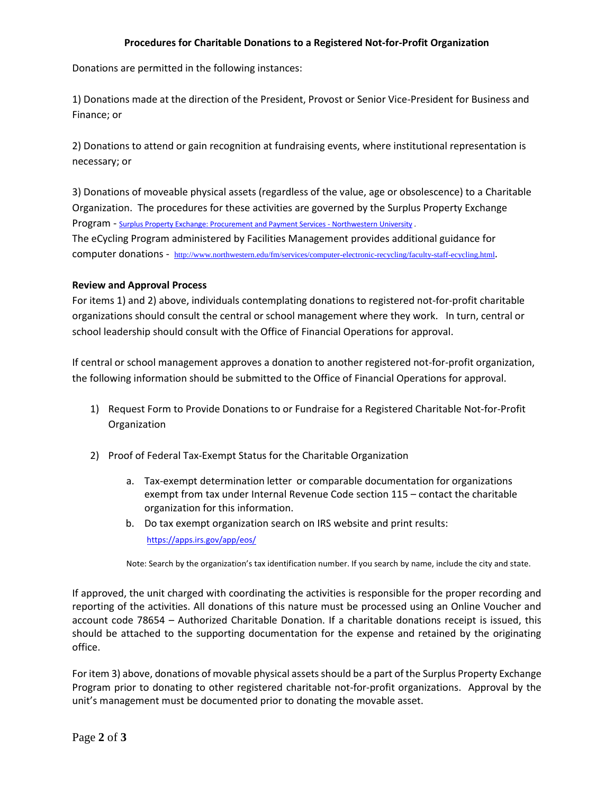## **Procedures for Charitable Donations to a Registered Not-for-Profit Organization**

Donations are permitted in the following instances:

1) Donations made at the direction of the President, Provost or Senior Vice-President for Business and Finance; or

2) Donations to attend or gain recognition at fundraising events, where institutional representation is necessary; or

3) Donations of moveable physical assets (regardless of the value, age or obsolescence) to a Charitable Organization. The procedures for these activities are governed by the Surplus Property Exchange Program - [Surplus Property Exchange: Procurement and Payment Services - Northwestern University .](http://www.northwestern.edu/procurement/about/surplusproperty/index.html) The eCycling Program administered by Facilities Management provides additional guidance for computer donations - <http://www.northwestern.edu/fm/services/computer-electronic-recycling/faculty-staff-ecycling.html>.

## **Review and Approval Process**

For items 1) and 2) above, individuals contemplating donations to registered not-for-profit charitable organizations should consult the central or school management where they work. In turn, central or school leadership should consult with the Office of Financial Operations for approval.

If central or school management approves a donation to another registered not-for-profit organization, the following information should be submitted to the Office of Financial Operations for approval.

- 1) Request Form to Provide Donations to or Fundraise for a Registered Charitable Not-for-Profit Organization
- 2) Proof of Federal Tax-Exempt Status for the Charitable Organization
	- a. Tax-exempt determination letter or comparable documentation for organizations exempt from tax under Internal Revenue Code section 115 – contact the charitable organization for this information.
	- b. Do tax exempt organization search on IRS website and print results: https://apps.irs.gov/app/eos/

Note: Search by the organization's tax identification number. If you search by name, include the city and state.

If approved, the unit charged with coordinating the activities is responsible for the proper recording and reporting of the activities. All donations of this nature must be processed using an Online Voucher and account code 78654 – Authorized Charitable Donation. If a charitable donations receipt is issued, this should be attached to the supporting documentation for the expense and retained by the originating office.

For item 3) above, donations of movable physical assets should be a part of the Surplus Property Exchange Program prior to donating to other registered charitable not-for-profit organizations. Approval by the unit's management must be documented prior to donating the movable asset.